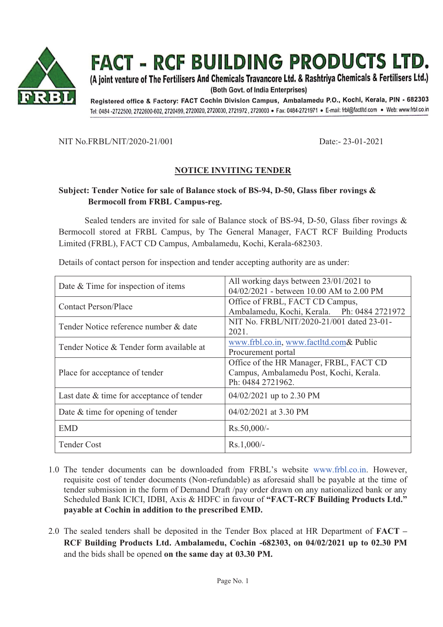

(A joint venture of The Fertilisers And Chemicals Travancore Ltd. & Rashtriya Chemicals & Fertilisers Ltd.)

(Both Govt. of India Enterprises)

Registered office & Factory: FACT Cochin Division Campus, Ambalamedu P.O., Kochi, Kerala, PIN - 682303 Tel: 0484-2722500, 2722600-602, 2720499, 2720020, 2720030, 2721972, 2720003 · Fax: 0484-2721971 · E-mail: frbl@factltd.com · Web: www.frbl.co.in

NIT No.FRBL/NIT/2020-21/001 Date:- 23-01-2021

#### **NOTICE INVITING TENDER**

#### **Subject: Tender Notice for sale of Balance stock of BS-94, D-50, Glass fiber rovings & Bermocoll from FRBL Campus-reg.**

Sealed tenders are invited for sale of Balance stock of BS-94, D-50, Glass fiber rovings & Bermocoll stored at FRBL Campus, by The General Manager, FACT RCF Building Products Limited (FRBL), FACT CD Campus, Ambalamedu, Kochi, Kerala-682303.

| Date & Time for inspection of items       | All working days between $23/01/2021$ to<br>04/02/2021 - between 10.00 AM to 2.00 PM                    |
|-------------------------------------------|---------------------------------------------------------------------------------------------------------|
| <b>Contact Person/Place</b>               | Office of FRBL, FACT CD Campus,<br>Ambalamedu, Kochi, Kerala. Ph: 0484 2721972                          |
| Tender Notice reference number & date     | NIT No. FRBL/NIT/2020-21/001 dated 23-01-<br>2021.                                                      |
| Tender Notice & Tender form available at  | www.frbl.co.in, www.factltd.com& Public<br>Procurement portal                                           |
| Place for acceptance of tender            | Office of the HR Manager, FRBL, FACT CD<br>Campus, Ambalamedu Post, Kochi, Kerala.<br>Ph: 0484 2721962. |
| Last date & time for acceptance of tender | $04/02/2021$ up to 2.30 PM                                                                              |
| Date $&$ time for opening of tender       | $04/02/2021$ at 3.30 PM                                                                                 |
| <b>EMD</b>                                | $Rs.50,000/-$                                                                                           |
| <b>Tender Cost</b>                        | $Rs.1,000/-$                                                                                            |

Details of contact person for inspection and tender accepting authority are as under:

- 1.0 The tender documents can be downloaded from FRBL's website www.frbl.co.in. However, requisite cost of tender documents (Non-refundable) as aforesaid shall be payable at the time of tender submission in the form of Demand Draft /pay order drawn on any nationalized bank or any Scheduled Bank ICICI, IDBI, Axis & HDFC in favour of **"FACT-RCF Building Products Ltd." payable at Cochin in addition to the prescribed EMD.**
- 2.0 The sealed tenders shall be deposited in the Tender Box placed at HR Department of **FACT – RCF Building Products Ltd. Ambalamedu, Cochin -682303, on 04/02/2021 up to 02.30 PM**  and the bids shall be opened **on the same day at 03.30 PM.**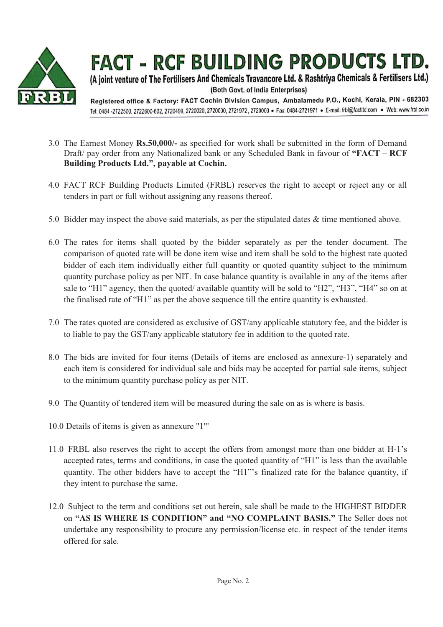

(A joint venture of The Fertilisers And Chemicals Travancore Ltd. & Rashtriya Chemicals & Fertilisers Ltd.) (Both Govt. of India Enterprises)

Registered office & Factory: FACT Cochin Division Campus, Ambalamedu P.O., Kochi, Kerala, PIN - 682303 Tel: 0484-2722500, 2722600-602, 2720499, 2720020, 2720030, 2721972, 2720003 · Fax: 0484-2721971 · E-mail: frbl@factltd.com · Web: www.frbl.co.in

- 3.0 The Earnest Money **Rs.50,000/-** as specified for work shall be submitted in the form of Demand Draft/ pay order from any Nationalized bank or any Scheduled Bank in favour of **"FACT – RCF Building Products Ltd.", payable at Cochin.**
- 4.0 FACT RCF Building Products Limited (FRBL) reserves the right to accept or reject any or all tenders in part or full without assigning any reasons thereof.
- 5.0 Bidder may inspect the above said materials, as per the stipulated dates & time mentioned above.
- 6.0 The rates for items shall quoted by the bidder separately as per the tender document. The comparison of quoted rate will be done item wise and item shall be sold to the highest rate quoted bidder of each item individually either full quantity or quoted quantity subject to the minimum quantity purchase policy as per NIT. In case balance quantity is available in any of the items after sale to "H1" agency, then the quoted/ available quantity will be sold to "H2", "H3", "H4" so on at the finalised rate of "H1" as per the above sequence till the entire quantity is exhausted.
- 7.0 The rates quoted are considered as exclusive of GST/any applicable statutory fee, and the bidder is to liable to pay the GST/any applicable statutory fee in addition to the quoted rate.
- 8.0 The bids are invited for four items (Details of items are enclosed as annexure-1) separately and each item is considered for individual sale and bids may be accepted for partial sale items, subject to the minimum quantity purchase policy as per NIT.
- 9.0 The Quantity of tendered item will be measured during the sale on as is where is basis.
- 10.0 Details of items is given as annexure "1"'
- 11.0 FRBL also reserves the right to accept the offers from amongst more than one bidder at H-1's accepted rates, terms and conditions, in case the quoted quantity of "H1" is less than the available quantity. The other bidders have to accept the "H1"'s finalized rate for the balance quantity, if they intent to purchase the same.
- 12.0 Subject to the term and conditions set out herein, sale shall be made to the HIGHEST BIDDER on **"AS IS WHERE IS CONDITION" and "NO COMPLAINT BASIS."** The Seller does not undertake any responsibility to procure any permission/license etc. in respect of the tender items offered for sale.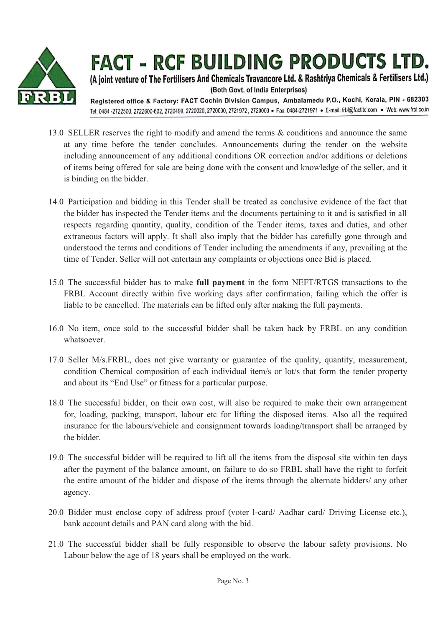

(A joint venture of The Fertilisers And Chemicals Travancore Ltd. & Rashtriya Chemicals & Fertilisers Ltd.) (Both Govt. of India Enterprises)

Registered office & Factory: FACT Cochin Division Campus, Ambalamedu P.O., Kochi, Kerala, PIN - 682303 Tel: 0484-2722500, 2722600-602, 2720499, 2720020, 2720030, 2721972, 2720003 · Fax: 0484-2721971 · E-mail: frbl@factltd.com · Web: www.frbl.co.in

- 13.0 SELLER reserves the right to modify and amend the terms & conditions and announce the same at any time before the tender concludes. Announcements during the tender on the website including announcement of any additional conditions OR correction and/or additions or deletions of items being offered for sale are being done with the consent and knowledge of the seller, and it is binding on the bidder.
- 14.0 Participation and bidding in this Tender shall be treated as conclusive evidence of the fact that the bidder has inspected the Tender items and the documents pertaining to it and is satisfied in all respects regarding quantity, quality, condition of the Tender items, taxes and duties, and other extraneous factors will apply. It shall also imply that the bidder has carefully gone through and understood the terms and conditions of Tender including the amendments if any, prevailing at the time of Tender. Seller will not entertain any complaints or objections once Bid is placed.
- 15.0 The successful bidder has to make **full payment** in the form NEFT/RTGS transactions to the FRBL Account directly within five working days after confirmation, failing which the offer is liable to be cancelled. The materials can be lifted only after making the full payments.
- 16.0 No item, once sold to the successful bidder shall be taken back by FRBL on any condition whatsoever.
- 17.0 Seller M/s.FRBL, does not give warranty or guarantee of the quality, quantity, measurement, condition Chemical composition of each individual item/s or lot/s that form the tender property and about its "End Use" or fitness for a particular purpose.
- 18.0 The successful bidder, on their own cost, will also be required to make their own arrangement for, loading, packing, transport, labour etc for lifting the disposed items. Also all the required insurance for the labours/vehicle and consignment towards loading/transport shall be arranged by the bidder.
- 19.0 The successful bidder will be required to lift all the items from the disposal site within ten days after the payment of the balance amount, on failure to do so FRBL shall have the right to forfeit the entire amount of the bidder and dispose of the items through the alternate bidders/ any other agency.
- 20.0 Bidder must enclose copy of address proof (voter l-card/ Aadhar card/ Driving License etc.), bank account details and PAN card along with the bid.
- 21.0 The successful bidder shall be fully responsible to observe the labour safety provisions. No Labour below the age of 18 years shall be employed on the work.